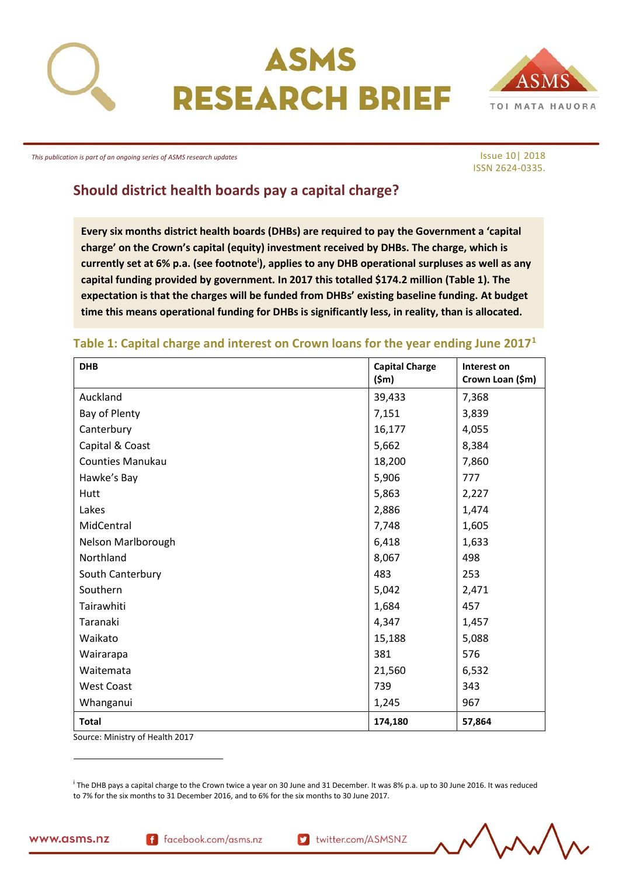

# ASMS **RESEARCH BRIEF**



*This publication is part of an ongoing series of ASMS research updates*

Issue 10| 2018 ISSN 2624-0335.

# **Should district health boards pay a capital charge?<sup>i</sup>**

**Every six months district health boards (DHBs) are required to pay the Government a 'capital charge' on the Crown's capital (equity) investment received by DHBs. The charge, which is currently set at 6% p.a. (see footnote<sup>i</sup> ), applies to any DHB operational surpluses as well as any capital funding provided by government. In 2017 this totalled \$174.2 million (Table 1). The expectation is that the charges will be funded from DHBs' existing baseline funding. At budget time this means operational funding for DHBs is significantly less, in reality, than is allocated.**

## **Table 1: Capital charge and interest on Crown loans for the year ending June 2017<sup>1</sup>**

| <b>DHB</b>               | <b>Capital Charge</b><br>$(\textsf{5m})$ | Interest on<br>Crown Loan (\$m) |
|--------------------------|------------------------------------------|---------------------------------|
| Auckland                 | 39,433                                   | 7,368                           |
| Bay of Plenty            | 7,151                                    | 3,839                           |
| Canterbury               | 16,177                                   | 4,055                           |
| Capital & Coast          | 5,662                                    | 8,384                           |
| <b>Counties Manukau</b>  | 18,200                                   | 7,860                           |
| Hawke's Bay              | 5,906                                    | 777                             |
| Hutt                     | 5,863                                    | 2,227                           |
| Lakes                    | 2,886                                    | 1,474                           |
| MidCentral               | 7,748                                    | 1,605                           |
| Nelson Marlborough       | 6,418                                    | 1,633                           |
| Northland                | 8,067                                    | 498                             |
| South Canterbury         | 483                                      | 253                             |
| Southern                 | 5,042                                    | 2,471                           |
| Tairawhiti               | 1,684                                    | 457                             |
| Taranaki                 | 4,347                                    | 1,457                           |
| Waikato                  | 15,188                                   | 5,088                           |
| Wairarapa                | 381                                      | 576                             |
| Waitemata                | 21,560                                   | 6,532                           |
| <b>West Coast</b>        | 739                                      | 343                             |
| Whanganui                | 1,245                                    | 967                             |
| <b>Total</b><br>Con(0,0) | 174,180                                  | 57,864                          |

Source: Ministry of Health 2017

i The DHB pays a capital charge to the Crown twice a year on 30 June and 31 December. It was 8% p.a. up to 30 June 2016. It was reduced to 7% for the six months to 31 December 2016, and to 6% for the six months to 30 June 2017.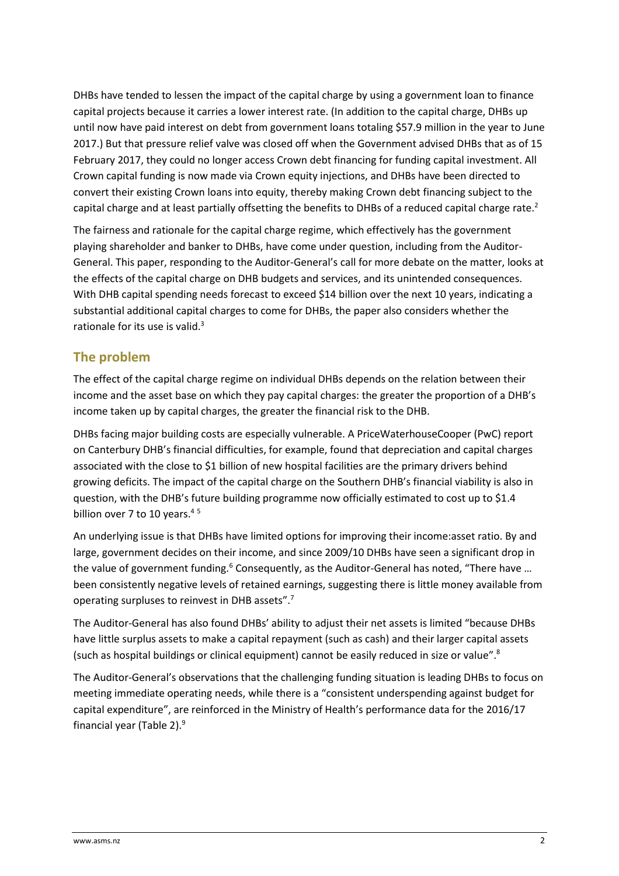DHBs have tended to lessen the impact of the capital charge by using a government loan to finance capital projects because it carries a lower interest rate. (In addition to the capital charge, DHBs up until now have paid interest on debt from government loans totaling \$57.9 million in the year to June 2017.) But that pressure relief valve was closed off when the Government advised DHBs that as of 15 February 2017, they could no longer access Crown debt financing for funding capital investment. All Crown capital funding is now made via Crown equity injections, and DHBs have been directed to convert their existing Crown loans into equity, thereby making Crown debt financing subject to the capital charge and at least partially offsetting the benefits to DHBs of a reduced capital charge rate.<sup>2</sup>

The fairness and rationale for the capital charge regime, which effectively has the government playing shareholder and banker to DHBs, have come under question, including from the Auditor-General. This paper, responding to the Auditor-General's call for more debate on the matter, looks at the effects of the capital charge on DHB budgets and services, and its unintended consequences. With DHB capital spending needs forecast to exceed \$14 billion over the next 10 years, indicating a substantial additional capital charges to come for DHBs, the paper also considers whether the rationale for its use is valid.<sup>3</sup>

## **The problem**

The effect of the capital charge regime on individual DHBs depends on the relation between their income and the asset base on which they pay capital charges: the greater the proportion of a DHB's income taken up by capital charges, the greater the financial risk to the DHB.

DHBs facing major building costs are especially vulnerable. A PriceWaterhouseCooper (PwC) report on Canterbury DHB's financial difficulties, for example, found that depreciation and capital charges associated with the close to \$1 billion of new hospital facilities are the primary drivers behind growing deficits. The impact of the capital charge on the Southern DHB's financial viability is also in question, with the DHB's future building programme now officially estimated to cost up to \$1.4 billion over 7 to 10 years. $45$ 

An underlying issue is that DHBs have limited options for improving their income:asset ratio. By and large, government decides on their income, and since 2009/10 DHBs have seen a significant drop in the value of government funding.<sup>6</sup> Consequently, as the Auditor-General has noted, "There have ... been consistently negative levels of retained earnings, suggesting there is little money available from operating surpluses to reinvest in DHB assets".<sup>7</sup>

The Auditor-General has also found DHBs' ability to adjust their net assets is limited "because DHBs have little surplus assets to make a capital repayment (such as cash) and their larger capital assets (such as hospital buildings or clinical equipment) cannot be easily reduced in size or value".<sup>8</sup>

The Auditor-General's observations that the challenging funding situation is leading DHBs to focus on meeting immediate operating needs, while there is a "consistent underspending against budget for capital expenditure", are reinforced in the Ministry of Health's performance data for the 2016/17 financial year (Table 2).9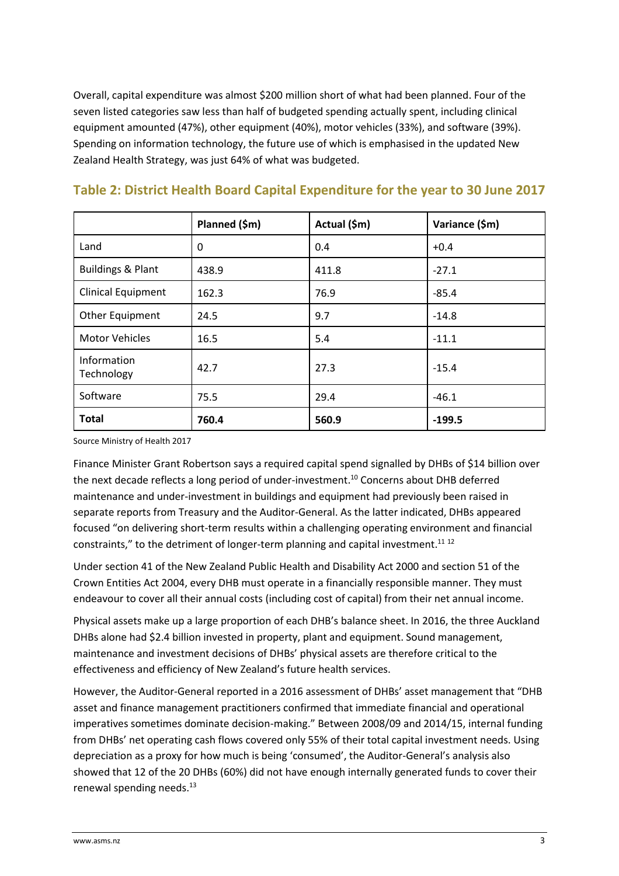Overall, capital expenditure was almost \$200 million short of what had been planned. Four of the seven listed categories saw less than half of budgeted spending actually spent, including clinical equipment amounted (47%), other equipment (40%), motor vehicles (33%), and software (39%). Spending on information technology, the future use of which is emphasised in the updated New Zealand Health Strategy, was just 64% of what was budgeted.

|                              | Planned (\$m) | Actual (\$m) | Variance (\$m) |
|------------------------------|---------------|--------------|----------------|
| Land                         | 0             | 0.4          | $+0.4$         |
| <b>Buildings &amp; Plant</b> | 438.9         | 411.8        | $-27.1$        |
| <b>Clinical Equipment</b>    | 162.3         | 76.9         | $-85.4$        |
| Other Equipment              | 24.5          | 9.7          | $-14.8$        |
| <b>Motor Vehicles</b>        | 16.5          | 5.4          | $-11.1$        |
| Information<br>Technology    | 42.7          | 27.3         | $-15.4$        |
| Software                     | 75.5          | 29.4         | $-46.1$        |
| <b>Total</b>                 | 760.4         | 560.9        | $-199.5$       |

## **Table 2: District Health Board Capital Expenditure for the year to 30 June 2017**

Source Ministry of Health 2017

Finance Minister Grant Robertson says a required capital spend signalled by DHBs of \$14 billion over the next decade reflects a long period of under-investment.<sup>10</sup> Concerns about DHB deferred maintenance and under-investment in buildings and equipment had previously been raised in separate reports from Treasury and the Auditor-General. As the latter indicated, DHBs appeared focused "on delivering short-term results within a challenging operating environment and financial constraints," to the detriment of longer-term planning and capital investment. $^{11}$   $^{12}$ 

Under section 41 of the New Zealand Public Health and Disability Act 2000 and section 51 of the Crown Entities Act 2004, every DHB must operate in a financially responsible manner. They must endeavour to cover all their annual costs (including cost of capital) from their net annual income.

Physical assets make up a large proportion of each DHB's balance sheet. In 2016, the three Auckland DHBs alone had \$2.4 billion invested in property, plant and equipment. Sound management, maintenance and investment decisions of DHBs' physical assets are therefore critical to the effectiveness and efficiency of New Zealand's future health services.

However, the Auditor-General reported in a 2016 assessment of DHBs' asset management that "DHB asset and finance management practitioners confirmed that immediate financial and operational imperatives sometimes dominate decision-making." Between 2008/09 and 2014/15, internal funding from DHBs' net operating cash flows covered only 55% of their total capital investment needs. Using depreciation as a proxy for how much is being 'consumed', the Auditor-General's analysis also showed that 12 of the 20 DHBs (60%) did not have enough internally generated funds to cover their renewal spending needs. $^{13}$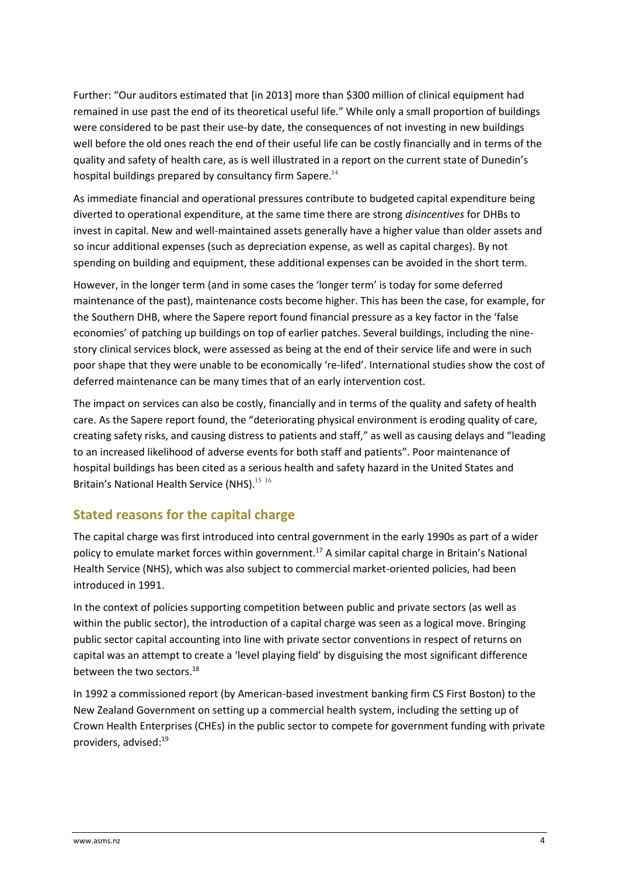Further: "Our auditors estimated that [in 2013] more than \$300 million of clinical equipment had remained in use past the end of its theoretical useful life." While only a small proportion of buildings were considered to be past their use-by date, the consequences of not investing in new buildings well before the old ones reach the end of their useful life can be costly financially and in terms of the quality and safety of health care, as is well illustrated in a report on the current state of Dunedin's hospital buildings prepared by consultancy firm Sapere. $^{14}$ 

As immediate financial and operational pressures contribute to budgeted capital expenditure being diverted to operational expenditure, at the same time there are strong *disincentives* for DHBs to invest in capital. New and well-maintained assets generally have a higher value than older assets and so incur additional expenses (such as depreciation expense, as well as capital charges). By not spending on building and equipment, these additional expenses can be avoided in the short term.

However, in the longer term (and in some cases the 'longer term' is today for some deferred maintenance of the past), maintenance costs become higher. This has been the case, for example, for the Southern DHB, where the Sapere report found financial pressure as a key factor in the 'false economies' of patching up buildings on top of earlier patches. Several buildings, including the ninestory clinical services block, were assessed as being at the end of their service life and were in such poor shape that they were unable to be economically 're-lifed'. International studies show the cost of deferred maintenance can be many times that of an early intervention cost.

The impact on services can also be costly, financially and in terms of the quality and safety of health care. As the Sapere report found, the "deteriorating physical environment is eroding quality of care, creating safety risks, and causing distress to patients and staff," as well as causing delays and "leading to an increased likelihood of adverse events for both staff and patients". Poor maintenance of hospital buildings has been cited as a serious health and safety hazard in the United States and Britain's National Health Service (NHS). $^{15\,16}$ 

## **Stated reasons for the capital charge**

The capital charge was first introduced into central government in the early 1990s as part of a wider policy to emulate market forces within government.<sup>17</sup> A similar capital charge in Britain's National Health Service (NHS), which was also subject to commercial market-oriented policies, had been introduced in 1991.

In the context of policies supporting competition between public and private sectors (as well as within the public sector), the introduction of a capital charge was seen as a logical move. Bringing public sector capital accounting into line with private sector conventions in respect of returns on capital was an attempt to create a 'level playing field' by disguising the most significant difference between the two sectors.<sup>18</sup>

In 1992 a commissioned report (by American-based investment banking firm CS First Boston) to the New Zealand Government on setting up a commercial health system, including the setting up of Crown Health Enterprises (CHEs) in the public sector to compete for government funding with private providers, advised:19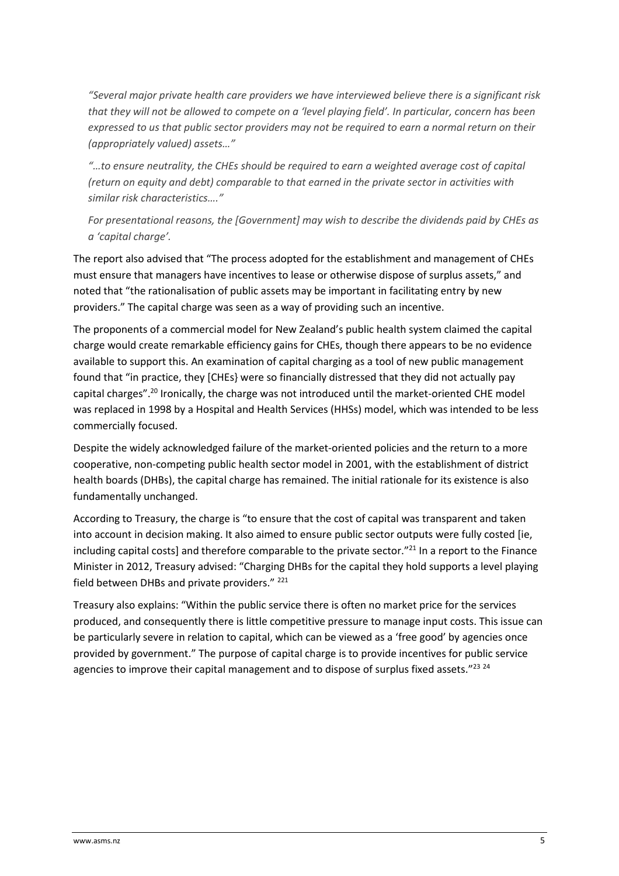*"Several major private health care providers we have interviewed believe there is a significant risk that they will not be allowed to compete on a 'level playing field'. In particular, concern has been expressed to us that public sector providers may not be required to earn a normal return on their (appropriately valued) assets…"*

*"…to ensure neutrality, the CHEs should be required to earn a weighted average cost of capital (return on equity and debt) comparable to that earned in the private sector in activities with similar risk characteristics…."*

*For presentational reasons, the [Government] may wish to describe the dividends paid by CHEs as a 'capital charge'.*

The report also advised that "The process adopted for the establishment and management of CHEs must ensure that managers have incentives to lease or otherwise dispose of surplus assets," and noted that "the rationalisation of public assets may be important in facilitating entry by new providers." The capital charge was seen as a way of providing such an incentive.

The proponents of a commercial model for New Zealand's public health system claimed the capital charge would create remarkable efficiency gains for CHEs, though there appears to be no evidence available to support this. An examination of capital charging as a tool of new public management found that "in practice, they [CHEs} were so financially distressed that they did not actually pay capital charges".<sup>20</sup> Ironically, the charge was not introduced until the market-oriented CHE model was replaced in 1998 by a Hospital and Health Services (HHSs) model, which was intended to be less commercially focused.

Despite the widely acknowledged failure of the market-oriented policies and the return to a more cooperative, non-competing public health sector model in 2001, with the establishment of district health boards (DHBs), the capital charge has remained. The initial rationale for its existence is also fundamentally unchanged.

According to Treasury, the charge is "to ensure that the cost of capital was transparent and taken into account in decision making. It also aimed to ensure public sector outputs were fully costed [ie, including capital costs] and therefore comparable to the private sector."<sup>21</sup> In a report to the Finance Minister in 2012, Treasury advised: "Charging DHBs for the capital they hold supports a level playing field between DHBs and private providers." <sup>221</sup>

Treasury also explains: "Within the public service there is often no market price for the services produced, and consequently there is little competitive pressure to manage input costs. This issue can be particularly severe in relation to capital, which can be viewed as a 'free good' by agencies once provided by government." The purpose of capital charge is to provide incentives for public service agencies to improve their capital management and to dispose of surplus fixed assets."23 24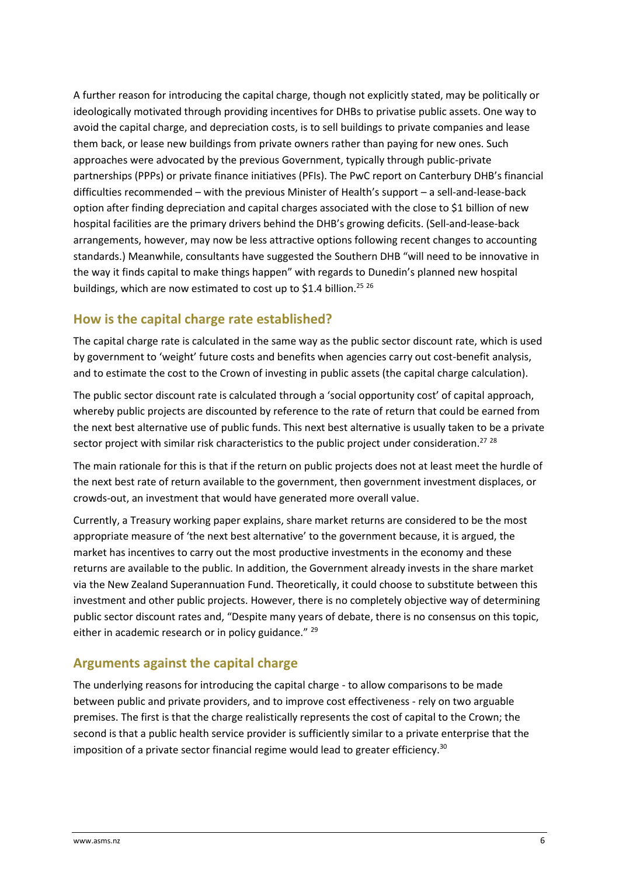A further reason for introducing the capital charge, though not explicitly stated, may be politically or ideologically motivated through providing incentives for DHBs to privatise public assets. One way to avoid the capital charge, and depreciation costs, is to sell buildings to private companies and lease them back, or lease new buildings from private owners rather than paying for new ones. Such approaches were advocated by the previous Government, typically through public-private partnerships (PPPs) or private finance initiatives (PFIs). The PwC report on Canterbury DHB's financial difficulties recommended – with the previous Minister of Health's support – a sell-and-lease-back option after finding depreciation and capital charges associated with the close to \$1 billion of new hospital facilities are the primary drivers behind the DHB's growing deficits. (Sell-and-lease-back arrangements, however, may now be less attractive options following recent changes to accounting standards.) Meanwhile, consultants have suggested the Southern DHB "will need to be innovative in the way it finds capital to make things happen" with regards to Dunedin's planned new hospital buildings, which are now estimated to cost up to \$1.4 billion.<sup>25 26</sup>

## **How is the capital charge rate established?**

The capital charge rate is calculated in the same way as the public sector discount rate, which is used by government to 'weight' future costs and benefits when agencies carry out cost-benefit analysis, and to estimate the cost to the Crown of investing in public assets (the capital charge calculation).

The public sector discount rate is calculated through a 'social opportunity cost' of capital approach, whereby public projects are discounted by reference to the rate of return that could be earned from the next best alternative use of public funds. This next best alternative is usually taken to be a private sector project with similar risk characteristics to the public project under consideration.<sup>27</sup> <sup>28</sup>

The main rationale for this is that if the return on public projects does not at least meet the hurdle of the next best rate of return available to the government, then government investment displaces, or crowds-out, an investment that would have generated more overall value.

Currently, a Treasury working paper explains, share market returns are considered to be the most appropriate measure of 'the next best alternative' to the government because, it is argued, the market has incentives to carry out the most productive investments in the economy and these returns are available to the public. In addition, the Government already invests in the share market via the New Zealand Superannuation Fund. Theoretically, it could choose to substitute between this investment and other public projects. However, there is no completely objective way of determining public sector discount rates and, "Despite many years of debate, there is no consensus on this topic, either in academic research or in policy guidance." <sup>29</sup>

## **Arguments against the capital charge**

The underlying reasons for introducing the capital charge - to allow comparisons to be made between public and private providers, and to improve cost effectiveness - rely on two arguable premises. The first is that the charge realistically represents the cost of capital to the Crown; the second is that a public health service provider is sufficiently similar to a private enterprise that the imposition of a private sector financial regime would lead to greater efficiency.<sup>30</sup>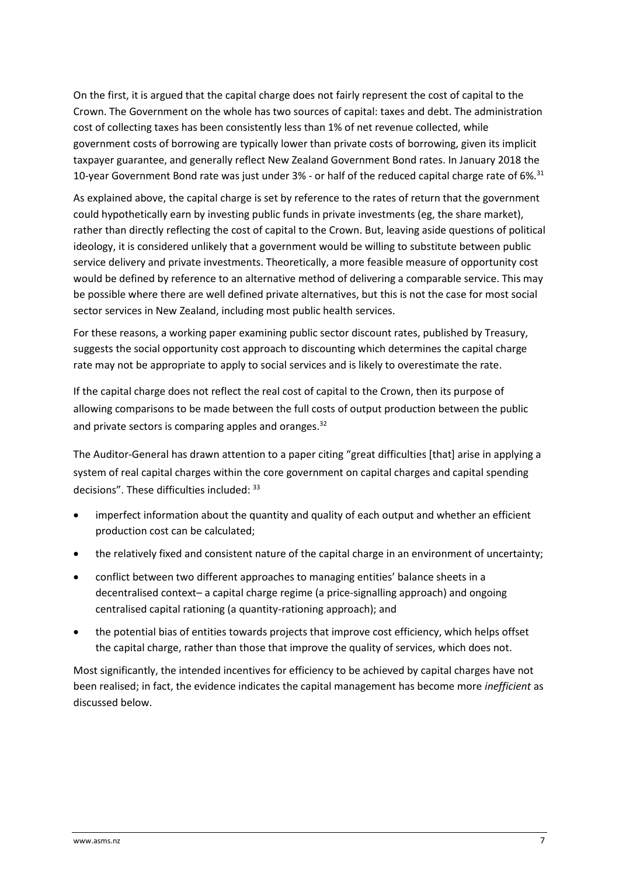On the first, it is argued that the capital charge does not fairly represent the cost of capital to the Crown. The Government on the whole has two sources of capital: taxes and debt. The administration cost of collecting taxes has been consistently less than 1% of net revenue collected, while government costs of borrowing are typically lower than private costs of borrowing, given its implicit taxpayer guarantee, and generally reflect New Zealand Government Bond rates. In January 2018 the 10-year Government Bond rate was just under 3% - or half of the reduced capital charge rate of 6%.<sup>31</sup>

As explained above, the capital charge is set by reference to the rates of return that the government could hypothetically earn by investing public funds in private investments (eg, the share market), rather than directly reflecting the cost of capital to the Crown. But, leaving aside questions of political ideology, it is considered unlikely that a government would be willing to substitute between public service delivery and private investments. Theoretically, a more feasible measure of opportunity cost would be defined by reference to an alternative method of delivering a comparable service. This may be possible where there are well defined private alternatives, but this is not the case for most social sector services in New Zealand, including most public health services.

For these reasons, a working paper examining public sector discount rates, published by Treasury, suggests the social opportunity cost approach to discounting which determines the capital charge rate may not be appropriate to apply to social services and is likely to overestimate the rate.

If the capital charge does not reflect the real cost of capital to the Crown, then its purpose of allowing comparisons to be made between the full costs of output production between the public and private sectors is comparing apples and oranges.<sup>32</sup>

The Auditor-General has drawn attention to a paper citing "great difficulties [that] arise in applying a system of real capital charges within the core government on capital charges and capital spending decisions". These difficulties included: <sup>33</sup>

- imperfect information about the quantity and quality of each output and whether an efficient production cost can be calculated;
- the relatively fixed and consistent nature of the capital charge in an environment of uncertainty;
- conflict between two different approaches to managing entities' balance sheets in a decentralised context– a capital charge regime (a price-signalling approach) and ongoing centralised capital rationing (a quantity-rationing approach); and
- the potential bias of entities towards projects that improve cost efficiency, which helps offset the capital charge, rather than those that improve the quality of services, which does not.

Most significantly, the intended incentives for efficiency to be achieved by capital charges have not been realised; in fact, the evidence indicates the capital management has become more *inefficient* as discussed below.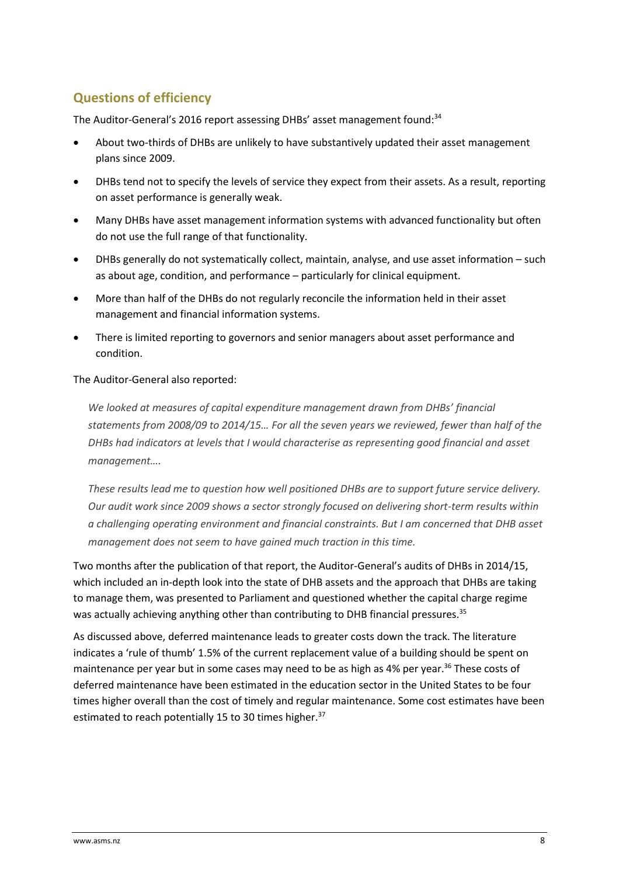# **Questions of efficiency**

The Auditor-General's 2016 report assessing DHBs' asset management found: 34

- About two-thirds of DHBs are unlikely to have substantively updated their asset management plans since 2009.
- DHBs tend not to specify the levels of service they expect from their assets. As a result, reporting on asset performance is generally weak.
- Many DHBs have asset management information systems with advanced functionality but often do not use the full range of that functionality.
- DHBs generally do not systematically collect, maintain, analyse, and use asset information such as about age, condition, and performance – particularly for clinical equipment.
- More than half of the DHBs do not regularly reconcile the information held in their asset management and financial information systems.
- There is limited reporting to governors and senior managers about asset performance and condition.

#### The Auditor-General also reported:

*We looked at measures of capital expenditure management drawn from DHBs' financial statements from 2008/09 to 2014/15… For all the seven years we reviewed, fewer than half of the DHBs had indicators at levels that I would characterise as representing good financial and asset management….*

*These results lead me to question how well positioned DHBs are to support future service delivery. Our audit work since 2009 shows a sector strongly focused on delivering short-term results within a challenging operating environment and financial constraints. But I am concerned that DHB asset management does not seem to have gained much traction in this time.*

Two months after the publication of that report, the Auditor-General's audits of DHBs in 2014/15, which included an in-depth look into the state of DHB assets and the approach that DHBs are taking to manage them, was presented to Parliament and questioned whether the capital charge regime was actually achieving anything other than contributing to DHB financial pressures.<sup>35</sup>

As discussed above, deferred maintenance leads to greater costs down the track. The literature indicates a 'rule of thumb' 1.5% of the current replacement value of a building should be spent on maintenance per year but in some cases may need to be as high as 4% per year.<sup>36</sup> These costs of deferred maintenance have been estimated in the education sector in the United States to be four times higher overall than the cost of timely and regular maintenance. Some cost estimates have been estimated to reach potentially 15 to 30 times higher.<sup>37</sup>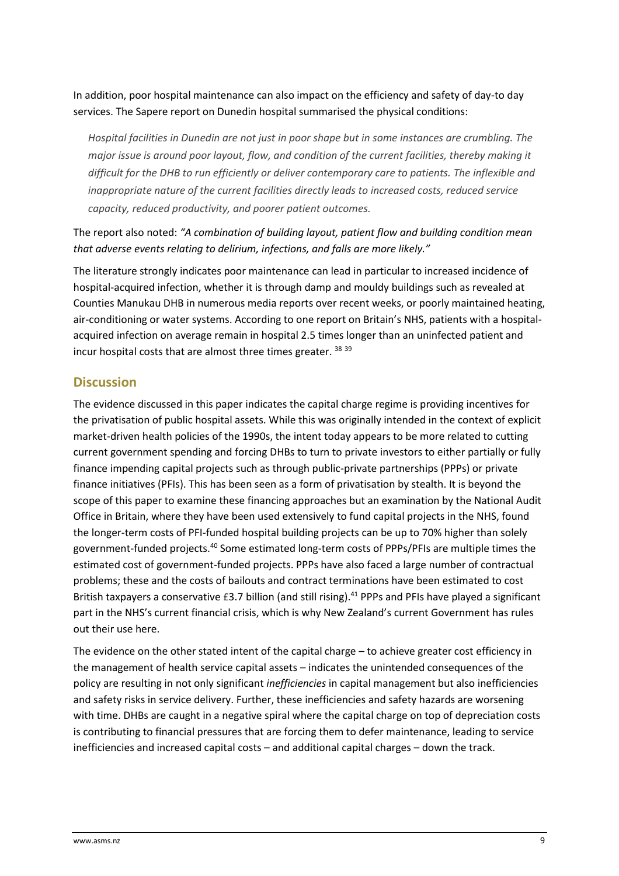In addition, poor hospital maintenance can also impact on the efficiency and safety of day-to day services. The Sapere report on Dunedin hospital summarised the physical conditions:

*Hospital facilities in Dunedin are not just in poor shape but in some instances are crumbling. The major issue is around poor layout, flow, and condition of the current facilities, thereby making it difficult for the DHB to run efficiently or deliver contemporary care to patients. The inflexible and inappropriate nature of the current facilities directly leads to increased costs, reduced service capacity, reduced productivity, and poorer patient outcomes.* 

The report also noted: *"A combination of building layout, patient flow and building condition mean that adverse events relating to delirium, infections, and falls are more likely."*

The literature strongly indicates poor maintenance can lead in particular to increased incidence of hospital-acquired infection, whether it is through damp and mouldy buildings such as revealed at Counties Manukau DHB in numerous media reports over recent weeks, or poorly maintained heating, air-conditioning or water systems. According to one report on Britain's NHS, patients with a hospitalacquired infection on average remain in hospital 2.5 times longer than an uninfected patient and incur hospital costs that are almost three times greater. <sup>38</sup> <sup>39</sup>

### **Discussion**

The evidence discussed in this paper indicates the capital charge regime is providing incentives for the privatisation of public hospital assets. While this was originally intended in the context of explicit market-driven health policies of the 1990s, the intent today appears to be more related to cutting current government spending and forcing DHBs to turn to private investors to either partially or fully finance impending capital projects such as through public-private partnerships (PPPs) or private finance initiatives (PFIs). This has been seen as a form of privatisation by stealth. It is beyond the scope of this paper to examine these financing approaches but an examination by the National Audit Office in Britain, where they have been used extensively to fund capital projects in the NHS, found the longer-term costs of PFI-funded hospital building projects can be up to 70% higher than solely government-funded projects.<sup>40</sup> Some estimated long-term costs of PPPs/PFIs are multiple times the estimated cost of government-funded projects. PPPs have also faced a large number of contractual problems; these and the costs of bailouts and contract terminations have been estimated to cost British taxpayers a conservative £3.7 billion (and still rising).<sup>41</sup> PPPs and PFIs have played a significant part in the NHS's current financial crisis, which is why New Zealand's current Government has rules out their use here.

The evidence on the other stated intent of the capital charge – to achieve greater cost efficiency in the management of health service capital assets – indicates the unintended consequences of the policy are resulting in not only significant *inefficiencies* in capital management but also inefficiencies and safety risks in service delivery. Further, these inefficiencies and safety hazards are worsening with time. DHBs are caught in a negative spiral where the capital charge on top of depreciation costs is contributing to financial pressures that are forcing them to defer maintenance, leading to service inefficiencies and increased capital costs – and additional capital charges – down the track.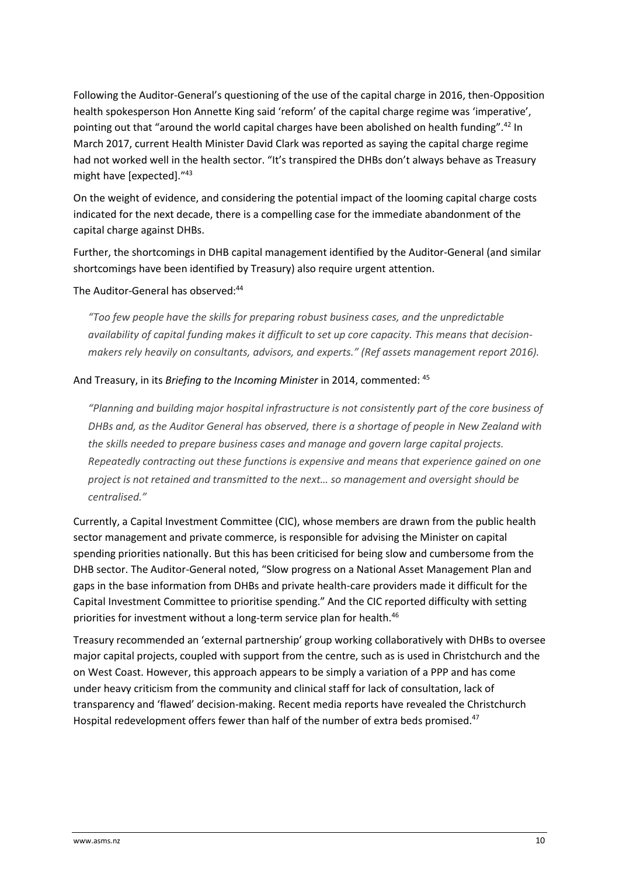Following the Auditor-General's questioning of the use of the capital charge in 2016, then-Opposition health spokesperson Hon Annette King said 'reform' of the capital charge regime was 'imperative', pointing out that "around the world capital charges have been abolished on health funding".<sup>42</sup> In March 2017, current Health Minister David Clark was reported as saying the capital charge regime had not worked well in the health sector. "It's transpired the DHBs don't always behave as Treasury might have [expected]."<sup>43</sup>

On the weight of evidence, and considering the potential impact of the looming capital charge costs indicated for the next decade, there is a compelling case for the immediate abandonment of the capital charge against DHBs.

Further, the shortcomings in DHB capital management identified by the Auditor-General (and similar shortcomings have been identified by Treasury) also require urgent attention.

#### The Auditor-General has observed:<sup>44</sup>

*"Too few people have the skills for preparing robust business cases, and the unpredictable availability of capital funding makes it difficult to set up core capacity. This means that decisionmakers rely heavily on consultants, advisors, and experts." (Ref assets management report 2016).*

#### And Treasury, in its *Briefing to the Incoming Minister* in 2014, commented: <sup>45</sup>

*"Planning and building major hospital infrastructure is not consistently part of the core business of DHBs and, as the Auditor General has observed, there is a shortage of people in New Zealand with the skills needed to prepare business cases and manage and govern large capital projects. Repeatedly contracting out these functions is expensive and means that experience gained on one project is not retained and transmitted to the next… so management and oversight should be centralised."*

Currently, a Capital Investment Committee (CIC), whose members are drawn from the public health sector management and private commerce, is responsible for advising the Minister on capital spending priorities nationally. But this has been criticised for being slow and cumbersome from the DHB sector. The Auditor-General noted, "Slow progress on a National Asset Management Plan and gaps in the base information from DHBs and private health-care providers made it difficult for the Capital Investment Committee to prioritise spending." And the CIC reported difficulty with setting priorities for investment without a long-term service plan for health.<sup>46</sup>

Treasury recommended an 'external partnership' group working collaboratively with DHBs to oversee major capital projects, coupled with support from the centre, such as is used in Christchurch and the on West Coast. However, this approach appears to be simply a variation of a PPP and has come under heavy criticism from the community and clinical staff for lack of consultation, lack of transparency and 'flawed' decision-making. Recent media reports have revealed the Christchurch Hospital redevelopment offers fewer than half of the number of extra beds promised.<sup>47</sup>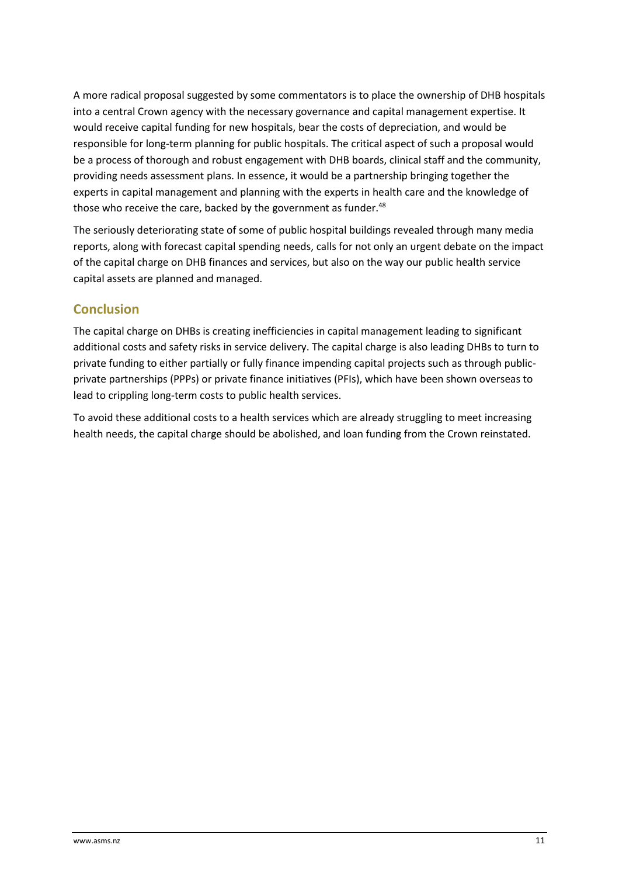A more radical proposal suggested by some commentators is to place the ownership of DHB hospitals into a central Crown agency with the necessary governance and capital management expertise. It would receive capital funding for new hospitals, bear the costs of depreciation, and would be responsible for long-term planning for public hospitals. The critical aspect of such a proposal would be a process of thorough and robust engagement with DHB boards, clinical staff and the community, providing needs assessment plans. In essence, it would be a partnership bringing together the experts in capital management and planning with the experts in health care and the knowledge of those who receive the care, backed by the government as funder.<sup>48</sup>

The seriously deteriorating state of some of public hospital buildings revealed through many media reports, along with forecast capital spending needs, calls for not only an urgent debate on the impact of the capital charge on DHB finances and services, but also on the way our public health service capital assets are planned and managed.

## **Conclusion**

The capital charge on DHBs is creating inefficiencies in capital management leading to significant additional costs and safety risks in service delivery. The capital charge is also leading DHBs to turn to private funding to either partially or fully finance impending capital projects such as through publicprivate partnerships (PPPs) or private finance initiatives (PFIs), which have been shown overseas to lead to crippling long-term costs to public health services.

To avoid these additional costs to a health services which are already struggling to meet increasing health needs, the capital charge should be abolished, and loan funding from the Crown reinstated.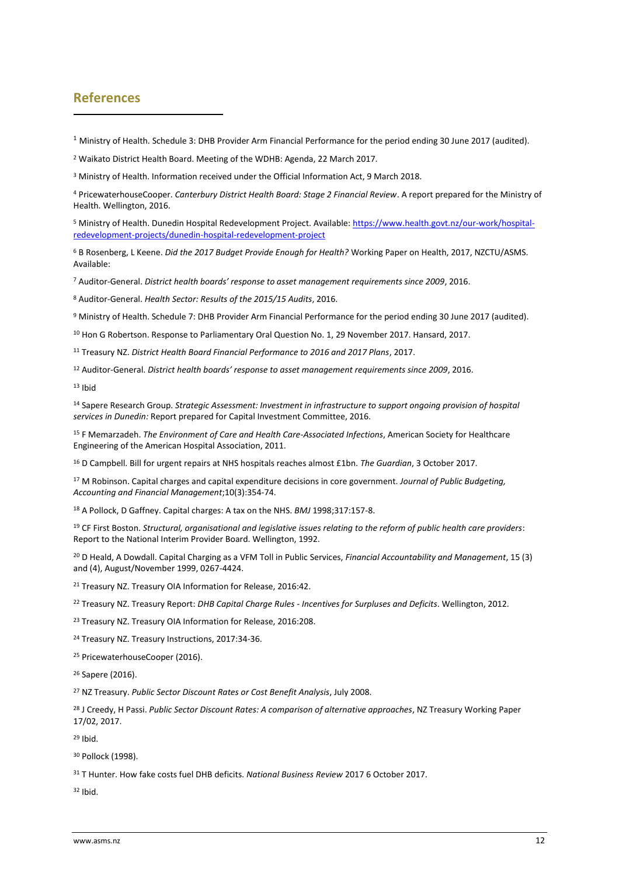#### **References**

Ministry of Health. Schedule 3: DHB Provider Arm Financial Performance for the period ending 30 June 2017 (audited).

Waikato District Health Board. Meeting of the WDHB: Agenda, 22 March 2017.

<sup>3</sup> Ministry of Health. Information received under the Official Information Act, 9 March 2018.

 PricewaterhouseCooper. *Canterbury District Health Board: Stage 2 Financial Review*. A report prepared for the Ministry of Health. Wellington, 2016.

 Ministry of Health. Dunedin Hospital Redevelopment Project. Available: [https://www.health.govt.nz/our-work/hospital](https://www.health.govt.nz/our-work/hospital-redevelopment-projects/dunedin-hospital-redevelopment-project)[redevelopment-projects/dunedin-hospital-redevelopment-project](https://www.health.govt.nz/our-work/hospital-redevelopment-projects/dunedin-hospital-redevelopment-project)

 B Rosenberg, L Keene. *Did the 2017 Budget Provide Enough for Health?* Working Paper on Health, 2017, NZCTU/ASMS. Available:

Auditor-General. *District health boards' response to asset management requirements since 2009*, 2016.

Auditor-General. *Health Sector: Results of the 2015/15 Audits*, 2016.

Ministry of Health. Schedule 7: DHB Provider Arm Financial Performance for the period ending 30 June 2017 (audited).

<sup>10</sup> Hon G Robertson. Response to Parliamentary Oral Question No. 1, 29 November 2017. Hansard, 2017.

Treasury NZ. *District Health Board Financial Performance to 2016 and 2017 Plans*, 2017.

Auditor-General. *District health boards' response to asset management requirements since 2009*, 2016.

Ibid

 Sapere Research Group. *Strategic Assessment: Investment in infrastructure to support ongoing provision of hospital services in Dunedin:* Report prepared for Capital Investment Committee, 2016.

 F Memarzadeh. *The Environment of Care and Health Care-Associated Infections*, American Society for Healthcare Engineering of the American Hospital Association, 2011.

D Campbell. Bill for urgent repairs at NHS hospitals reaches almost £1bn. *The Guardian*, 3 October 2017.

 M Robinson. Capital charges and capital expenditure decisions in core government. *Journal of Public Budgeting, Accounting and Financial Management*;10(3):354-74.

A Pollock, D Gaffney. Capital charges: A tax on the NHS. *BMJ* 1998;317:157-8.

 CF First Boston. *Structural, organisational and legislative issues relating to the reform of public health care providers*: Report to the National Interim Provider Board. Wellington, 1992.

 D Heald, A Dowdall. Capital Charging as a VFM Toll in Public Services, *Financial Accountability and Management*, 15 (3) and (4), August/November 1999, 0267-4424.

<sup>21</sup> Treasury NZ. Treasury OIA Information for Release, 2016:42.

Treasury NZ. Treasury Report: *DHB Capital Charge Rules - Incentives for Surpluses and Deficits*. Wellington, 2012.

<sup>23</sup> Treasury NZ. Treasury OIA Information for Release, 2016:208.

Treasury NZ. Treasury Instructions, 2017:34-36.

<sup>25</sup> PricewaterhouseCooper (2016).

Sapere (2016).

NZ Treasury. *Public Sector Discount Rates or Cost Benefit Analysis*, July 2008.

 J Creedy, H Passi. *Public Sector Discount Rates: A comparison of alternative approaches*, NZ Treasury Working Paper 17/02, 2017.

Ibid.

<sup>30</sup> Pollock (1998).

T Hunter. How fake costs fuel DHB deficits. *National Business Review* 2017 6 October 2017.

Ibid.